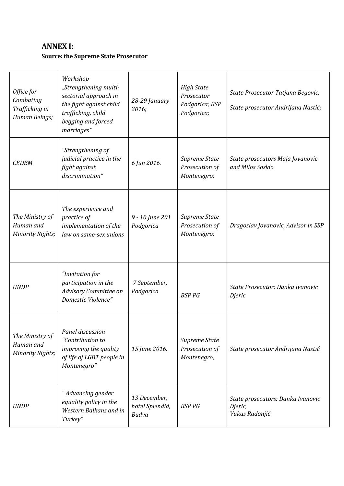# **ANNEX I:**

### **Source: the Supreme State Prosecutor**

| Office for<br>Combating<br>Trafficking in<br>Human Beings; | Workshop<br>"Strengthening multi-<br>sectorial approach in<br>the fight against child<br>trafficking, child<br>begging and forced<br>marriages" | 28-29 January<br>2016;                   | <b>High State</b><br>Prosecutor<br>Podgorica; BSP<br>Podgorica; | State Prosecutor Tatjana Begovic;<br>State prosecutor Andrijana Nastić; |
|------------------------------------------------------------|-------------------------------------------------------------------------------------------------------------------------------------------------|------------------------------------------|-----------------------------------------------------------------|-------------------------------------------------------------------------|
| <b>CEDEM</b>                                               | "Strengthening of<br>judicial practice in the<br>fight against<br>discrimination"                                                               | 6 Jun 2016.                              | Supreme State<br>Prosecution of<br>Montenegro;                  | State prosecutors Maja Jovanovic<br>and Milos Soskic                    |
| The Ministry of<br>Human and<br><b>Minority Rights;</b>    | The experience and<br>practice of<br>implementation of the<br>law on same-sex unions                                                            | 9 - 10 June 201<br>Podgorica             | Supreme State<br>Prosecution of<br>Montenegro;                  | Dragoslav Jovanovic, Advisor in SSP                                     |
| <b>UNDP</b>                                                | "Invitation for<br>participation in the<br>Advisory Committee on<br>Domestic Violence"                                                          | 7 September,<br>Podgorica                | <b>BSP PG</b>                                                   | State Prosecutor: Danka Ivanovic<br>Djeric                              |
| The Ministry of<br>Human and<br><b>Minority Rights;</b>    | Panel discussion<br>"Contribution to<br>improving the quality<br>of life of LGBT people in<br>Montenegro"                                       | 15 June 2016.                            | Supreme State<br>Prosecution of<br>Montenegro;                  | State prosecutor Andrijana Nastić                                       |
| <b>UNDP</b>                                                | "Advancing gender<br>equality policy in the<br>Western Balkans and in<br>Turkey"                                                                | 13 December,<br>hotel Splendid,<br>Budva | <b>BSP PG</b>                                                   | State prosecutors: Danka Ivanovic<br>Djeric,<br>Vukas Radonjić          |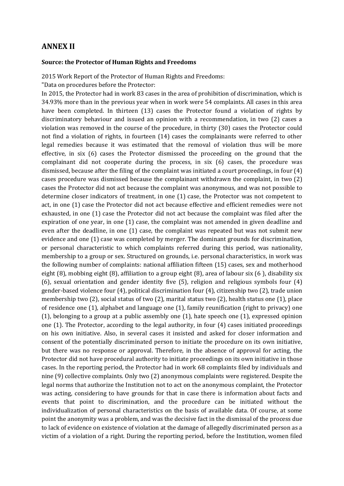### **ANNEX II**

#### **Source: the Protector of Human Rights and Freedoms**

2015 Work Report of the Protector of Human Rights and Freedoms:

"Data on procedures before the Protector:

In 2015, the Protector had in work 83 cases in the area of prohibition of discrimination, which is 34.93% more than in the previous year when in work were 54 complaints. All cases in this area have been completed. In thirteen (13) cases the Protector found a violation of rights by discriminatory behaviour and issued an opinion with a recommendation, in two (2) cases a violation was removed in the course of the procedure, in thirty (30) cases the Protector could not find a violation of rights, in fourteen (14) cases the complainants were referred to other legal remedies because it was estimated that the removal of violation thus will be more effective, in six (6) cases the Protector dismissed the proceeding on the ground that the complainant did not cooperate during the process, in six (6) cases, the procedure was dismissed, because after the filing of the complaint was initiated a court proceedings, in four (4) cases procedure was dismissed because the complainant withdrawn the complaint, in two (2) cases the Protector did not act because the complaint was anonymous, and was not possible to determine closer indicators of treatment, in one (1) case, the Protector was not competent to act, in one (1) case the Protector did not act because effective and efficient remedies were not exhausted, in one (1) case the Protector did not act because the complaint was filed after the expiration of one year, in one (1) case, the complaint was not amended in given deadline and even after the deadline, in one (1) case, the complaint was repeated but was not submit new evidence and one (1) case was completed by merger. The dominant grounds for discrimination, or personal characteristic to which complaints referred during this period, was nationality, membership to a group or sex. Structured on grounds, i.e. personal characteristics, in work was the following number of complaints: national affiliation fifteen (15) cases, sex and motherhood eight (8), mobbing eight (8), affiliation to a group eight (8), area of labour six (6 ), disability six (6), sexual orientation and gender identity five (5), religion and religious symbols four (4) gender-based violence four (4), political discrimination four (4), citizenship two (2), trade union membership two (2), social status of two (2), marital status two (2), health status one (1), place of residence one (1), alphabet and language one (1), family reunification (right to privacy) one (1), belonging to a group at a public assembly one (1), hate speech one (1), expressed opinion one (1). The Protector, according to the legal authority, in four (4) cases initiated proceedings on his own initiative. Also, in several cases it insisted and asked for closer information and consent of the potentially discriminated person to initiate the procedure on its own initiative, but there was no response or approval. Therefore, in the absence of approval for acting, the Protector did not have procedural authority to initiate proceedings on its own initiative in those cases. In the reporting period, the Protector had in work 68 complaints filed by individuals and nine (9) collective complaints. Only two (2) anonymous complaints were registered. Despite the legal norms that authorize the Institution not to act on the anonymous complaint, the Protector was acting, considering to have grounds for that in case there is information about facts and events that point to discrimination, and the procedure can be initiated without the individualization of personal characteristics on the basis of available data. Of course, at some point the anonymity was a problem, and was the decisive fact in the dismissal of the process due to lack of evidence on existence of violation at the damage of allegedly discriminated person as a victim of a violation of a right. During the reporting period, before the Institution, women filed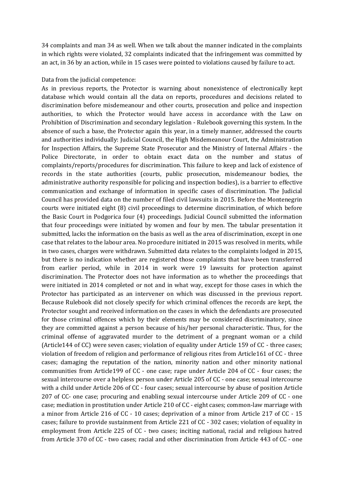34 complaints and man 34 as well. When we talk about the manner indicated in the complaints in which rights were violated, 32 complaints indicated that the infringement was committed by an act, in 36 by an action, while in 15 cases were pointed to violations caused by failure to act.

#### Data from the judicial competence:

As in previous reports, the Protector is warning about nonexistence of electronically kept database which would contain all the data on reports, procedures and decisions related to discrimination before misdemeanour and other courts, prosecution and police and inspection authorities, to which the Protector would have access in accordance with the Law on Prohibition of Discrimination and secondary legislation - Rulebook governing this system. In the absence of such a base, the Protector again this year, in a timely manner, addressed the courts and authorities individually: Judicial Council, the High Misdemeanour Court, the Administration for Inspection Affairs, the Supreme State Prosecutor and the Ministry of Internal Affairs - the Police Directorate, in order to obtain exact data on the number and status of complaints/reports/procedures for discrimination. This failure to keep and lack of existence of records in the state authorities (courts, public prosecution, misdemeanour bodies, the administrative authority responsible for policing and inspection bodies), is a barrier to effective communication and exchange of information in specific cases of discrimination. The Judicial Council has provided data on the number of filed civil lawsuits in 2015. Before the Montenegrin courts were initiated eight (8) civil proceedings to determine discrimination, of which before the Basic Court in Podgorica four (4) proceedings. Judicial Council submitted the information that four proceedings were initiated by women and four by men. The tabular presentation it submitted, lacks the information on the basis as well as the area of discrimination, except in one case that relates to the labour area. No procedure initiated in 2015 was resolved in merits, while in two cases, charges were withdrawn. Submitted data relates to the complaints lodged in 2015, but there is no indication whether are registered those complaints that have been transferred from earlier period, while in 2014 in work were 19 lawsuits for protection against discrimination. The Protector does not have information as to whether the proceedings that were initiated in 2014 completed or not and in what way, except for those cases in which the Protector has participated as an intervener on which was discussed in the previous report. Because Rulebook did not closely specify for which criminal offences the records are kept, the Protector sought and received information on the cases in which the defendants are prosecuted for those criminal offences which by their elements may be considered discriminatory, since they are committed against a person because of his/her personal characteristic. Thus, for the criminal offense of aggravated murder to the detriment of a pregnant woman or a child (Article144 of CC) were seven cases; violation of equality under Article 159 of CC - three cases; violation of freedom of religion and performance of religious rites from Article161 of CC - three cases; damaging the reputation of the nation, minority nation and other minority national communities from Article199 of CC - one case; rape under Article 204 of CC - four cases; the sexual intercourse over a helpless person under Article 205 of CC - one case; sexual intercourse with a child under Article 206 of CC - four cases; sexual intercourse by abuse of position Article 207 of CC- one case; procuring and enabling sexual intercourse under Article 209 of CC - one case; mediation in prostitution under Article 210 of CC - eight cases; common-law marriage with a minor from Article 216 of CC - 10 cases; deprivation of a minor from Article 217 of CC - 15 cases; failure to provide sustainment from Article 221 of CC - 302 cases; violation of equality in employment from Article 225 of CC - two cases; inciting national, racial and religious hatred from Article 370 of CC - two cases; racial and other discrimination from Article 443 of CC - one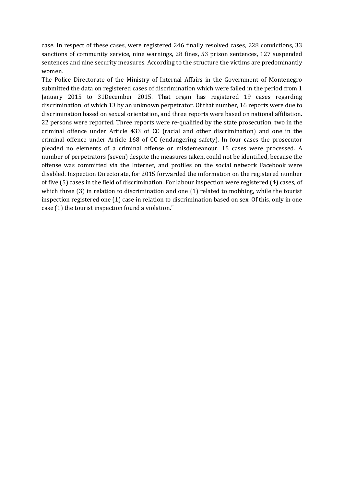case. In respect of these cases, were registered 246 finally resolved cases, 228 convictions, 33 sanctions of community service, nine warnings, 28 fines, 53 prison sentences, 127 suspended sentences and nine security measures. According to the structure the victims are predominantly women.

The Police Directorate of the Ministry of Internal Affairs in the Government of Montenegro submitted the data on registered cases of discrimination which were failed in the period from 1 January 2015 to 31December 2015. That organ has registered 19 cases regarding discrimination, of which 13 by an unknown perpetrator. Of that number, 16 reports were due to discrimination based on sexual orientation, and three reports were based on national affiliation. 22 persons were reported. Three reports were re-qualified by the state prosecution, two in the criminal offence under Article 433 of CC (racial and other discrimination) and one in the criminal offence under Article 168 of CC (endangering safety). In four cases the prosecutor pleaded no elements of a criminal offense or misdemeanour. 15 cases were processed. A number of perpetrators (seven) despite the measures taken, could not be identified, because the offense was committed via the Internet, and profiles on the social network Facebook were disabled. Inspection Directorate, for 2015 forwarded the information on the registered number of five (5) cases in the field of discrimination. For labour inspection were registered (4) cases, of which three (3) in relation to discrimination and one (1) related to mobbing, while the tourist inspection registered one (1) case in relation to discrimination based on sex. Of this, only in one case (1) the tourist inspection found a violation."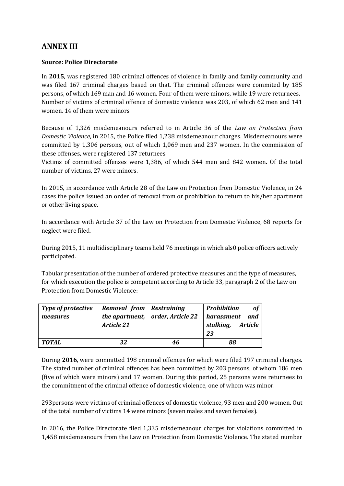## **ANNEX III**

#### **Source: Police Directorate**

In **2015**, was registered 180 criminal offences of violence in family and family community and was filed 167 criminal charges based on that. The criminal offences were commited by 185 persons, of which 169 man and 16 women. Four of them were minors, while 19 were returnees. Number of victims of criminal offence of domestic violence was 203, of which 62 men and 141 women. 14 of them were minors.

Because of 1,326 misdemeanours referred to in Article 36 of the *Law on Protection from Domestic Violence*, in 2015, the Police filed 1,238 misdemeanour charges. Misdemeanours were committed by 1,306 persons, out of which 1,069 men and 237 women. In the commission of these offenses, were registered 137 returnees.

Victims of committed offenses were 1,386, of which 544 men and 842 women. Of the total number of victims, 27 were minors.

In 2015, in accordance with Article 28 of the Law on Protection from Domestic Violence, in 24 cases the police issued an order of removal from or prohibition to return to his/her apartment or other living space.

In accordance with Article 37 of the Law on Protection from Domestic Violence, 68 reports for neglect were filed.

During 2015, 11 multidisciplinary teams held 76 meetings in which als0 police officers actively participated.

Tabular presentation of the number of ordered protective measures and the type of measures, for which execution the police is competent according to Article 33, paragraph 2 of the Law on Protection from Domestic Violence:

| Type of protective<br>measures | Removal from Restraining<br>Article 21 | the apartment, $\vert$ order, Article 22 | <b>of</b><br><b>Prohibition</b><br>and<br>harassment<br>stalking,<br>Article<br>23 |
|--------------------------------|----------------------------------------|------------------------------------------|------------------------------------------------------------------------------------|
| TOTAL                          | 32                                     | 46                                       | 88                                                                                 |

During **2016**, were committed 198 criminal offences for which were filed 197 criminal charges. The stated number of criminal offences has been committed by 203 persons, of whom 186 men (five of which were minors) and 17 women. During this period, 25 persons were returnees to the commitment of the criminal offence of domestic violence, one of whom was minor.

293persons were victims of criminal offences of domestic violence, 93 men and 200 women. Out of the total number of victims 14 were minors (seven males and seven females).

In 2016, the Police Directorate filed 1,335 misdemeanour charges for violations committed in 1,458 misdemeanours from the Law on Protection from Domestic Violence. The stated number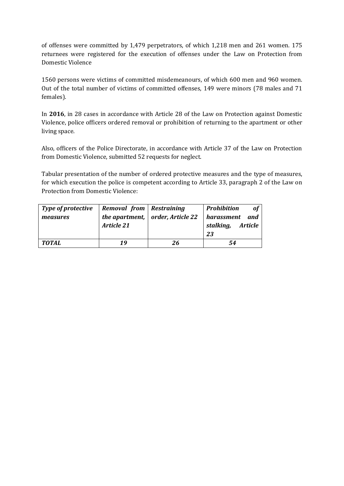of offenses were committed by 1,479 perpetrators, of which 1,218 men and 261 women. 175 returnees were registered for the execution of offenses under the Law on Protection from Domestic Violence

1560 persons were victims of committed misdemeanours, of which 600 men and 960 women. Out of the total number of victims of committed offenses, 149 were minors (78 males and 71 females).

In **2016**, in 28 cases in accordance with Article 28 of the Law on Protection against Domestic Violence, police officers ordered removal or prohibition of returning to the apartment or other living space.

Also, officers of the Police Directorate, in accordance with Article 37 of the Law on Protection from Domestic Violence, submitted 52 requests for neglect.

Tabular presentation of the number of ordered protective measures and the type of measures, for which execution the police is competent according to Article 33, paragraph 2 of the Law on Protection from Domestic Violence:

| <b>Type of protective</b><br>measures | Removal from Restraining<br>Article 21 | the apartment, $\vert$ order, Article 22 | <b>Prohibition</b><br>of<br>harassment<br>and<br>stalking,<br>Article<br>23 |
|---------------------------------------|----------------------------------------|------------------------------------------|-----------------------------------------------------------------------------|
| TOTAL                                 | 19                                     | 26                                       | 54                                                                          |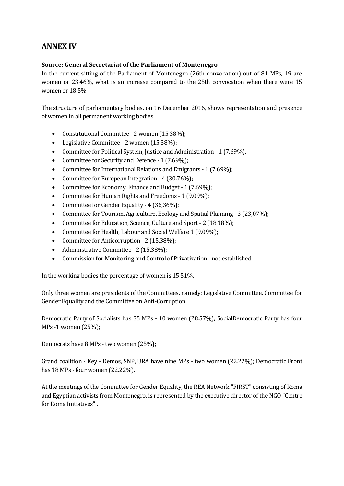## **ANNEX IV**

#### **Source: General Secretariat of the Parliament of Montenegro**

In the current sitting of the Parliament of Montenegro (26th convocation) out of 81 MPs, 19 are women or 23.46%, what is an increase compared to the 25th convocation when there were 15 women or 18.5%.

The structure of parliamentary bodies, on 16 December 2016, shows representation and presence of women in all permanent working bodies.

- Constitutional Committee 2 women (15.38%);
- Legislative Committee 2 women (15.38%);
- Committee for Political System, Justice and Administration 1 (7.69%),
- Committee for Security and Defence 1 (7.69%);
- Committee for International Relations and Emigrants 1 (7.69%);
- Committee for European Integration 4 (30.76%);
- Committee for Economy, Finance and Budget 1 (7.69%);
- Committee for Human Rights and Freedoms 1 (9.09%);
- Committee for Gender Equality 4 (36,36%);
- Committee for Tourism, Agriculture, Ecology and Spatial Planning 3 (23,07%);
- Committee for Education, Science, Culture and Sport 2 (18.18%);
- Committee for Health, Labour and Social Welfare 1 (9.09%);
- Committee for Anticorruption 2 (15.38%);
- Administrative Committee 2 (15.38%);
- Commission for Monitoring and Control of Privatization not established.

In the working bodies the percentage of women is 15.51%.

Only three women are presidents of the Committees, namely: Legislative Committee, Committee for Gender Equality and the Committee on Anti-Corruption.

Democratic Party of Socialists has 35 MPs - 10 women (28.57%); SocialDemocratic Party has four MPs -1 women (25%);

Democrats have 8 MPs - two women (25%);

Grand coalition - Key - Demos, SNP, URA have nine MPs - two women (22.22%); Democratic Front has 18 MPs - four women (22.22%).

At the meetings of the Committee for Gender Equality, the REA Network "FIRST" consisting of Roma and Egyptian activists from Montenegro, is represented by the executive director of the NGO "Centre for Roma Initiatives".